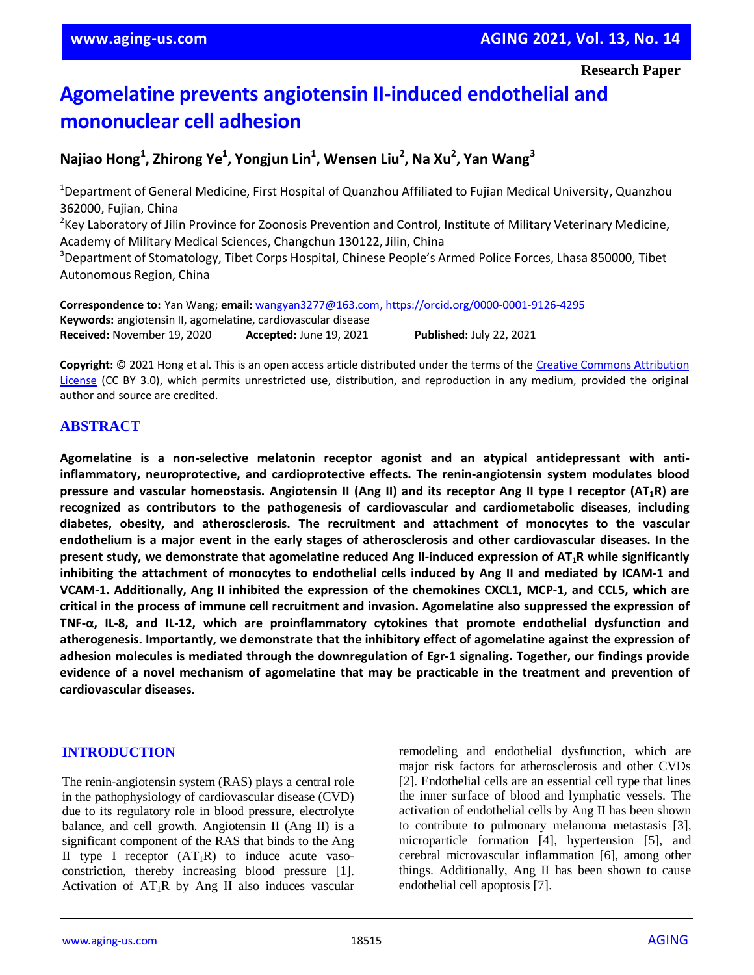**Research Paper**

# **Agomelatine prevents angiotensin II-induced endothelial and mononuclear cell adhesion**

# **Najiao Hong<sup>1</sup> , Zhirong Ye<sup>1</sup> , Yongjun Lin<sup>1</sup> , Wensen Liu<sup>2</sup> , Na Xu<sup>2</sup> , Yan Wang<sup>3</sup>**

<sup>1</sup>Department of General Medicine, First Hospital of Quanzhou Affiliated to Fujian Medical University, Quanzhou 362000, Fujian, China

<sup>2</sup>Key Laboratory of Jilin Province for Zoonosis Prevention and Control, Institute of Military Veterinary Medicine, Academy of Military Medical Sciences, Changchun 130122, Jilin, China

<sup>3</sup>Department of Stomatology, Tibet Corps Hospital, Chinese People's Armed Police Forces, Lhasa 850000, Tibet Autonomous Region, China

**Correspondence to:** Yan Wang; **email:** wangyan3277@163.com, https://orcid.org/0000-0001-9126-4295 **Keywords:** angiotensin II, agomelatine, cardiovascular disease **Received:** November 19, 2020 **Accepted:** June 19, 2021 **Published:** July 22, 2021

**Copyright:** © 2021 Hong et al. This is an open access article distributed under the terms of the Creative Commons Attribution License (CC BY 3.0), which permits unrestricted use, distribution, and reproduction in any medium, provided the original author and source are credited.

# **ABSTRACT**

**Agomelatine is a non-selective melatonin receptor agonist and an atypical antidepressant with antiinflammatory, neuroprotective, and cardioprotective effects. The renin-angiotensin system modulates blood** pressure and vascular homeostasis. Angiotensin II (Ang II) and its receptor Ang II type I receptor (AT<sub>1</sub>R) are **recognized as contributors to the pathogenesis of cardiovascular and cardiometabolic diseases, including diabetes, obesity, and atherosclerosis. The recruitment and attachment of monocytes to the vascular** endothelium is a major event in the early stages of atherosclerosis and other cardiovascular diseases. In the **present study, we demonstrate that agomelatine reduced Ang II-induced expression of AT1R while significantly inhibiting the attachment of monocytes to endothelial cells induced by Ang II and mediated by ICAM-1 and VCAM-1. Additionally, Ang II inhibited the expression of the chemokines CXCL1, MCP-1, and CCL5, which are critical in the process of immune cell recruitment and invasion. Agomelatine also suppressed the expression of TNF-α, IL-8, and IL-12, which are proinflammatory cytokines that promote endothelial dysfunction and atherogenesis. Importantly, we demonstrate that the inhibitory effect of agomelatine against the expression of adhesion molecules is mediated through the downregulation of Egr-1 signaling. Together, our findings provide evidence of a novel mechanism of agomelatine that may be practicable in the treatment and prevention of cardiovascular diseases.**

# **INTRODUCTION**

The renin-angiotensin system (RAS) plays a central role in the pathophysiology of cardiovascular disease (CVD) due to its regulatory role in blood pressure, electrolyte balance, and cell growth. Angiotensin II (Ang II) is a significant component of the RAS that binds to the Ang II type I receptor  $(AT_1R)$  to induce acute vasoconstriction, thereby increasing blood pressure [1]. Activation of  $AT_1R$  by Ang II also induces vascular remodeling and endothelial dysfunction, which are major risk factors for atherosclerosis and other CVDs [2]. Endothelial cells are an essential cell type that lines the inner surface of blood and lymphatic vessels. The activation of endothelial cells by Ang II has been shown to contribute to pulmonary melanoma metastasis [3], microparticle formation [4], hypertension [5], and cerebral microvascular inflammation [6], among other things. Additionally, Ang II has been shown to cause endothelial cell apoptosis [7].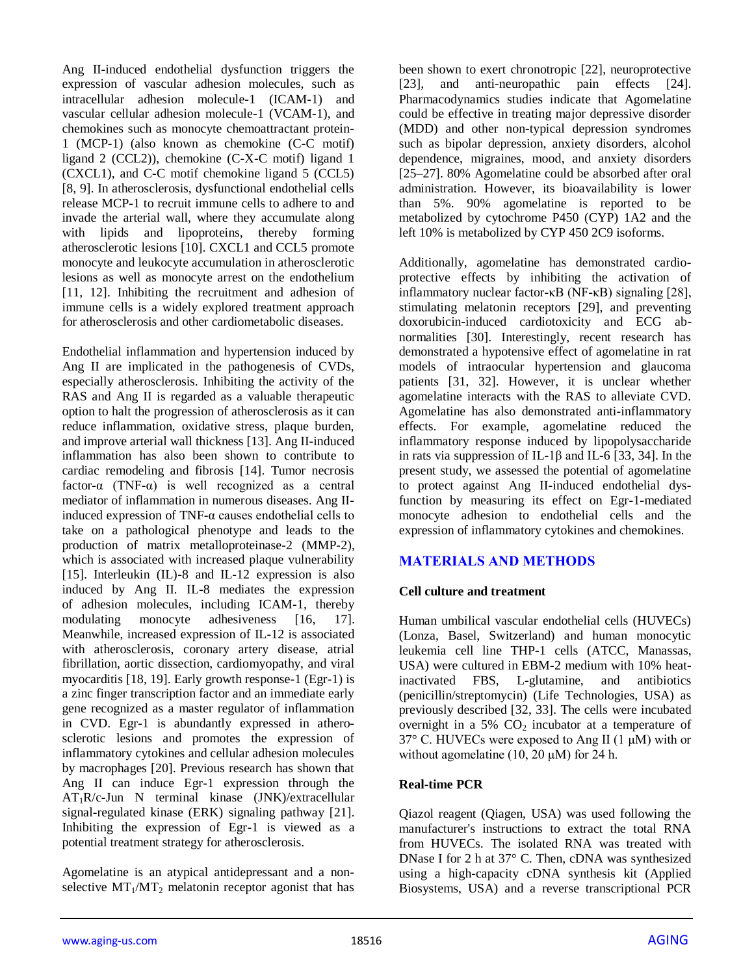Ang II-induced endothelial dysfunction triggers the expression of vascular adhesion molecules, such as intracellular adhesion molecule-1 (ICAM-1) and vascular cellular adhesion molecule-1 (VCAM-1), and chemokines such as monocyte chemoattractant protein-1 (MCP-1) (also known as chemokine (C-C motif) ligand 2 (CCL2)), chemokine (C-X-C motif) ligand 1 (CXCL1), and C-C motif chemokine ligand 5 (CCL5) [8, 9]. In atherosclerosis, dysfunctional endothelial cells release MCP-1 to recruit immune cells to adhere to and invade the arterial wall, where they accumulate along with lipids and lipoproteins, thereby forming atherosclerotic lesions [10]. CXCL1 and CCL5 promote monocyte and leukocyte accumulation in atherosclerotic lesions as well as monocyte arrest on the endothelium [11, 12]. Inhibiting the recruitment and adhesion of immune cells is a widely explored treatment approach for atherosclerosis and other cardiometabolic diseases.

Endothelial inflammation and hypertension induced by Ang II are implicated in the pathogenesis of CVDs, especially atherosclerosis. Inhibiting the activity of the RAS and Ang II is regarded as a valuable therapeutic option to halt the progression of atherosclerosis as it can reduce inflammation, oxidative stress, plaque burden, and improve arterial wall thickness [13]. Ang II-induced inflammation has also been shown to contribute to cardiac remodeling and fibrosis [14]. Tumor necrosis factor- $\alpha$  (TNF- $\alpha$ ) is well recognized as a central mediator of inflammation in numerous diseases. Ang IIinduced expression of TNF-α causes endothelial cells to take on a pathological phenotype and leads to the production of matrix metalloproteinase-2 (MMP-2), which is associated with increased plaque vulnerability [15]. Interleukin (IL)-8 and IL-12 expression is also induced by Ang II. IL-8 mediates the expression of adhesion molecules, including ICAM-1, thereby modulating monocyte adhesiveness [16, 17]. Meanwhile, increased expression of IL-12 is associated with atherosclerosis, coronary artery disease, atrial fibrillation, aortic dissection, cardiomyopathy, and viral myocarditis [18, 19]. Early growth response-1 (Egr-1) is a zinc finger transcription factor and an immediate early gene recognized as a master regulator of inflammation in CVD. Egr-1 is abundantly expressed in atherosclerotic lesions and promotes the expression of inflammatory cytokines and cellular adhesion molecules by macrophages [20]. Previous research has shown that Ang II can induce Egr-1 expression through the AT1R/c-Jun N terminal kinase (JNK)/extracellular signal-regulated kinase (ERK) signaling pathway [21]. Inhibiting the expression of Egr-1 is viewed as a potential treatment strategy for atherosclerosis.

Agomelatine is an atypical antidepressant and a nonselective  $MT_1/MT_2$  melatonin receptor agonist that has been shown to exert chronotropic [22], neuroprotective [23], and anti-neuropathic pain effects [24]. Pharmacodynamics studies indicate that Agomelatine could be effective in treating major depressive disorder (MDD) and other non-typical depression syndromes such as bipolar depression, anxiety disorders, alcohol dependence, migraines, mood, and anxiety disorders [25–27]. 80% Agomelatine could be absorbed after oral administration. However, its bioavailability is lower than 5%. 90% agomelatine is reported to be metabolized by cytochrome P450 (CYP) 1A2 and the left 10% is metabolized by CYP 450 2C9 isoforms.

Additionally, agomelatine has demonstrated cardioprotective effects by inhibiting the activation of inflammatory nuclear factor-κB (NF-κB) signaling [28], stimulating melatonin receptors [29], and preventing doxorubicin-induced cardiotoxicity and ECG abnormalities [30]. Interestingly, recent research has demonstrated a hypotensive effect of agomelatine in rat models of intraocular hypertension and glaucoma patients [31, 32]. However, it is unclear whether agomelatine interacts with the RAS to alleviate CVD. Agomelatine has also demonstrated anti-inflammatory effects. For example, agomelatine reduced the inflammatory response induced by lipopolysaccharide in rats via suppression of IL-1β and IL-6 [33, 34]. In the present study, we assessed the potential of agomelatine to protect against Ang II-induced endothelial dysfunction by measuring its effect on Egr-1-mediated monocyte adhesion to endothelial cells and the expression of inflammatory cytokines and chemokines.

# **MATERIALS AND METHODS**

### **Cell culture and treatment**

Human umbilical vascular endothelial cells (HUVECs) (Lonza, Basel, Switzerland) and human monocytic leukemia cell line THP-1 cells (ATCC, Manassas, USA) were cultured in EBM-2 medium with 10% heatinactivated FBS, L-glutamine, and antibiotics (penicillin/streptomycin) (Life Technologies, USA) as previously described [32, 33]. The cells were incubated overnight in a 5%  $CO<sub>2</sub>$  incubator at a temperature of  $37^{\circ}$  C. HUVECs were exposed to Ang II (1  $\mu$ M) with or without agomelatine (10, 20  $\mu$ M) for 24 h.

### **Real-time PCR**

Qiazol reagent (Qiagen, USA) was used following the manufacturer's instructions to extract the total RNA from HUVECs. The isolated RNA was treated with DNase I for 2 h at 37° C. Then, cDNA was synthesized using a high-capacity cDNA synthesis kit (Applied Biosystems, USA) and a reverse transcriptional PCR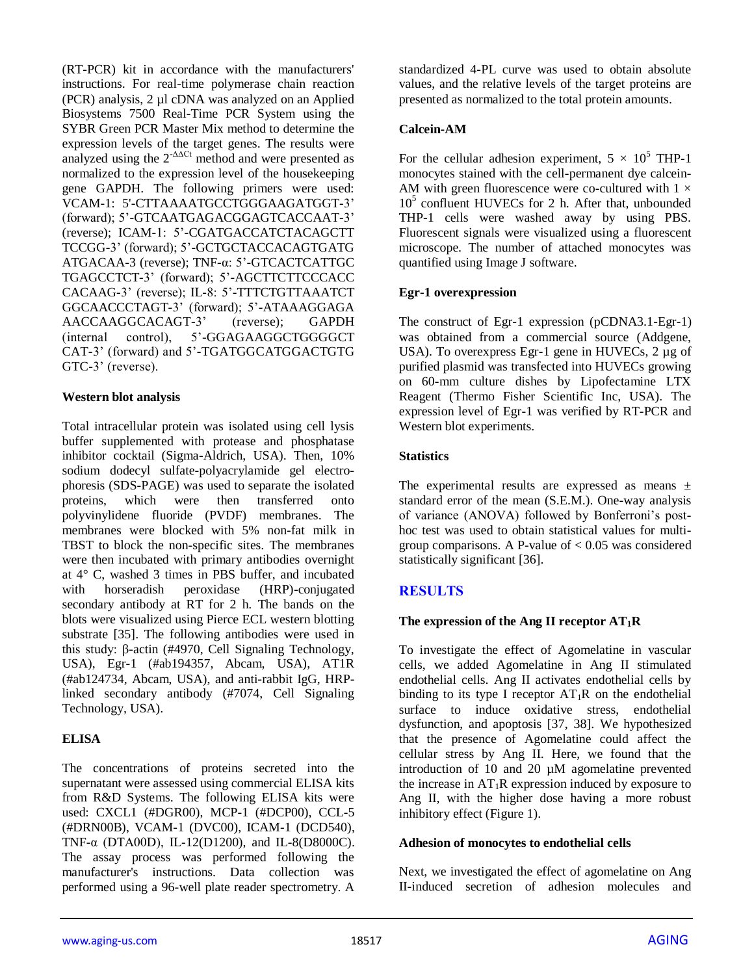(RT-PCR) kit in accordance with the manufacturers' instructions. For real-time polymerase chain reaction (PCR) analysis, 2 µl cDNA was analyzed on an Applied Biosystems 7500 Real-Time PCR System using the SYBR Green PCR Master Mix method to determine the expression levels of the target genes. The results were analyzed using the  $2<sup>-A</sup>\Delta Ct$  method and were presented as normalized to the expression level of the housekeeping gene GAPDH. The following primers were used: VCAM-1: 5'-CTTAAAATGCCTGGGAAGATGGT-3' (forward); 5'-GTCAATGAGACGGAGTCACCAAT-3' (reverse); ICAM-1: 5'-CGATGACCATCTACAGCTT TCCGG-3' (forward); 5'-GCTGCTACCACAGTGATG ATGACAA-3 (reverse); TNF-α: 5'-GTCACTCATTGC TGAGCCTCT-3' (forward); 5'-AGCTTCTTCCCACC CACAAG-3' (reverse); IL-8: 5'-TTTCTGTTAAATCT GGCAACCCTAGT-3' (forward); 5'-ATAAAGGAGA AACCAAGGCACAGT-3' (reverse); GAPDH (internal control), 5'-GGAGAAGGCTGGGGCT CAT-3' (forward) and 5'-TGATGGCATGGACTGTG GTC-3' (reverse).

### **Western blot analysis**

Total intracellular protein was isolated using cell lysis buffer supplemented with protease and phosphatase inhibitor cocktail (Sigma-Aldrich, USA). Then, 10% sodium dodecyl sulfate-polyacrylamide gel electrophoresis (SDS-PAGE) was used to separate the isolated proteins, which were then transferred onto polyvinylidene fluoride (PVDF) membranes. The membranes were blocked with 5% non-fat milk in TBST to block the non-specific sites. The membranes were then incubated with primary antibodies overnight at 4° C, washed 3 times in PBS buffer, and incubated with horseradish peroxidase (HRP)-conjugated secondary antibody at RT for 2 h. The bands on the blots were visualized using Pierce ECL western blotting substrate [35]. The following antibodies were used in this study: β-actin (#4970, Cell Signaling Technology, USA), Egr-1 (#ab194357, Abcam, USA), AT1R (#ab124734, Abcam, USA), and anti-rabbit IgG, HRPlinked secondary antibody (#7074, Cell Signaling Technology, USA).

# **ELISA**

The concentrations of proteins secreted into the supernatant were assessed using commercial ELISA kits from R&D Systems. The following ELISA kits were used: CXCL1 (#DGR00), MCP-1 (#DCP00), CCL-5 (#DRN00B), VCAM-1 (DVC00), ICAM-1 (DCD540), TNF-α (DTA00D), IL-12(D1200), and IL-8(D8000C). The assay process was performed following the manufacturer's instructions. Data collection was performed using a 96-well plate reader spectrometry. A standardized 4-PL curve was used to obtain absolute values, and the relative levels of the target proteins are presented as normalized to the total protein amounts.

## **Calcein-AM**

For the cellular adhesion experiment,  $5 \times 10^5$  THP-1 monocytes stained with the cell-permanent dye calcein-AM with green fluorescence were co-cultured with  $1 \times$ 10<sup>5</sup> confluent HUVECs for 2 h. After that, unbounded THP-1 cells were washed away by using PBS. Fluorescent signals were visualized using a fluorescent microscope. The number of attached monocytes was quantified using Image J software.

# **Egr-1 overexpression**

The construct of Egr-1 expression (pCDNA3.1-Egr-1) was obtained from a commercial source (Addgene, USA). To overexpress Egr-1 gene in HUVECs, 2 µg of purified plasmid was transfected into HUVECs growing on 60-mm culture dishes by Lipofectamine LTX Reagent (Thermo Fisher Scientific Inc, USA). The expression level of Egr-1 was verified by RT-PCR and Western blot experiments.

# **Statistics**

The experimental results are expressed as means  $\pm$ standard error of the mean (S.E.M.). One-way analysis of variance (ANOVA) followed by Bonferroni's posthoc test was used to obtain statistical values for multigroup comparisons. A P-value of  $< 0.05$  was considered statistically significant [36].

# **RESULTS**

### **The expression of the Ang II receptor AT1R**

To investigate the effect of Agomelatine in vascular cells, we added Agomelatine in Ang II stimulated endothelial cells. Ang II activates endothelial cells by binding to its type I receptor  $AT_1R$  on the endothelial surface to induce oxidative stress, endothelial dysfunction, and apoptosis [37, 38]. We hypothesized that the presence of Agomelatine could affect the cellular stress by Ang II. Here, we found that the introduction of 10 and 20 µM agomelatine prevented the increase in  $AT_1R$  expression induced by exposure to Ang II, with the higher dose having a more robust inhibitory effect (Figure 1).

### **Adhesion of monocytes to endothelial cells**

Next, we investigated the effect of agomelatine on Ang II-induced secretion of adhesion molecules and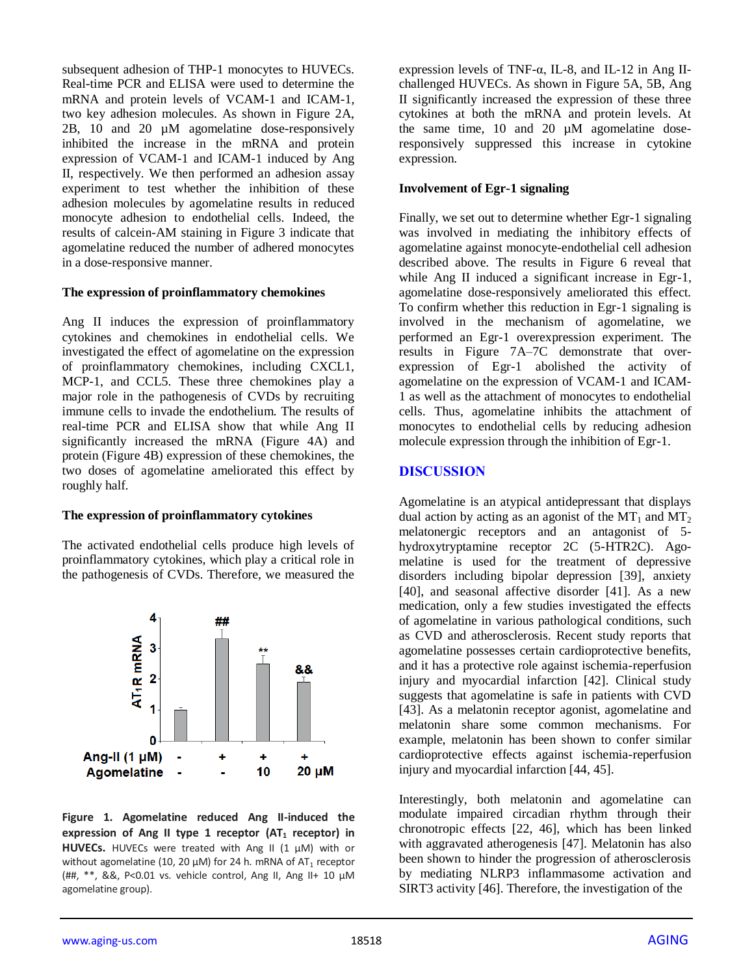subsequent adhesion of THP-1 monocytes to HUVECs. Real-time PCR and ELISA were used to determine the mRNA and protein levels of VCAM-1 and ICAM-1, two key adhesion molecules. As shown in Figure 2A, 2B, 10 and 20 µM agomelatine dose-responsively inhibited the increase in the mRNA and protein expression of VCAM-1 and ICAM-1 induced by Ang II, respectively. We then performed an adhesion assay experiment to test whether the inhibition of these adhesion molecules by agomelatine results in reduced monocyte adhesion to endothelial cells. Indeed, the results of calcein-AM staining in Figure 3 indicate that agomelatine reduced the number of adhered monocytes in a dose-responsive manner.

#### **The expression of proinflammatory chemokines**

Ang II induces the expression of proinflammatory cytokines and chemokines in endothelial cells. We investigated the effect of agomelatine on the expression of proinflammatory chemokines, including CXCL1, MCP-1, and CCL5. These three chemokines play a major role in the pathogenesis of CVDs by recruiting immune cells to invade the endothelium. The results of real-time PCR and ELISA show that while Ang II significantly increased the mRNA (Figure 4A) and protein (Figure 4B) expression of these chemokines, the two doses of agomelatine ameliorated this effect by roughly half.

### **The expression of proinflammatory cytokines**

The activated endothelial cells produce high levels of proinflammatory cytokines, which play a critical role in the pathogenesis of CVDs. Therefore, we measured the



**Figure 1. Agomelatine reduced Ang II-induced the expression of Ang II type 1 receptor (AT<sup>1</sup> receptor) in HUVECs.** HUVECs were treated with Ang II (1 μM) with or without agomelatine (10, 20  $\mu$ M) for 24 h. mRNA of AT<sub>1</sub> receptor (##, \*\*, &&, P<0.01 vs. vehicle control, Ang II, Ang II+ 10 μM agomelatine group).

expression levels of TNF- $\alpha$ , IL-8, and IL-12 in Ang IIchallenged HUVECs. As shown in Figure 5A, 5B, Ang II significantly increased the expression of these three cytokines at both the mRNA and protein levels. At the same time, 10 and 20 µM agomelatine doseresponsively suppressed this increase in cytokine expression.

### **Involvement of Egr-1 signaling**

Finally, we set out to determine whether Egr-1 signaling was involved in mediating the inhibitory effects of agomelatine against monocyte-endothelial cell adhesion described above. The results in Figure 6 reveal that while Ang II induced a significant increase in Egr-1, agomelatine dose-responsively ameliorated this effect. To confirm whether this reduction in Egr-1 signaling is involved in the mechanism of agomelatine, we performed an Egr-1 overexpression experiment. The results in Figure 7A–7C demonstrate that overexpression of Egr-1 abolished the activity of agomelatine on the expression of VCAM-1 and ICAM-1 as well as the attachment of monocytes to endothelial cells. Thus, agomelatine inhibits the attachment of monocytes to endothelial cells by reducing adhesion molecule expression through the inhibition of Egr-1.

# **DISCUSSION**

Agomelatine is an atypical antidepressant that displays dual action by acting as an agonist of the  $MT_1$  and  $MT_2$ melatonergic receptors and an antagonist of 5 hydroxytryptamine receptor 2C (5-HTR2C). Agomelatine is used for the treatment of depressive disorders including bipolar depression [39], anxiety [40], and seasonal affective disorder [41]. As a new medication, only a few studies investigated the effects of agomelatine in various pathological conditions, such as CVD and atherosclerosis. Recent study reports that agomelatine possesses certain cardioprotective benefits, and it has a protective role against ischemia-reperfusion injury and myocardial infarction [42]. Clinical study suggests that agomelatine is safe in patients with CVD [43]. As a melatonin receptor agonist, agomelatine and melatonin share some common mechanisms. For example, melatonin has been shown to confer similar cardioprotective effects against ischemia-reperfusion injury and myocardial infarction [44, 45].

Interestingly, both melatonin and agomelatine can modulate impaired circadian rhythm through their chronotropic effects [22, 46], which has been linked with aggravated atherogenesis [47]. Melatonin has also been shown to hinder the progression of atherosclerosis by mediating NLRP3 inflammasome activation and SIRT3 activity [46]. Therefore, the investigation of the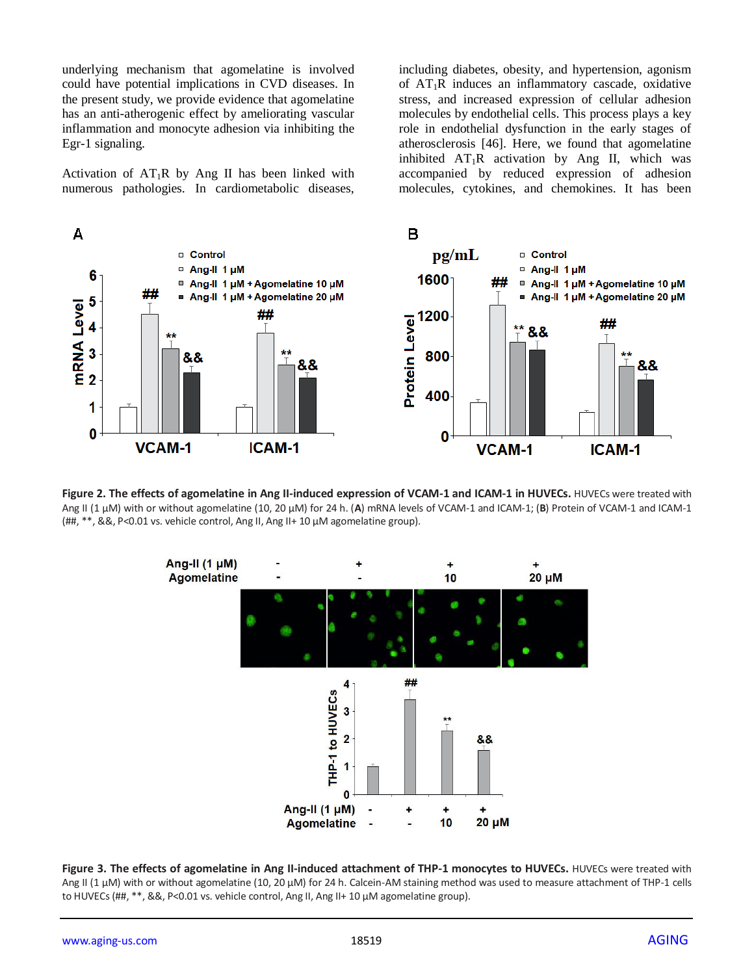underlying mechanism that agomelatine is involved could have potential implications in CVD diseases. In the present study, we provide evidence that agomelatine has an anti-atherogenic effect by ameliorating vascular inflammation and monocyte adhesion via inhibiting the Egr-1 signaling.

Activation of  $AT_1R$  by Ang II has been linked with numerous pathologies. In cardiometabolic diseases, including diabetes, obesity, and hypertension, agonism of  $AT_1R$  induces an inflammatory cascade, oxidative stress, and increased expression of cellular adhesion molecules by endothelial cells. This process plays a key role in endothelial dysfunction in the early stages of atherosclerosis [46]. Here, we found that agomelatine inhibited  $AT_1R$  activation by Ang II, which was accompanied by reduced expression of adhesion molecules, cytokines, and chemokines. It has been



**Figure 2. The effects of agomelatine in Ang II-induced expression of VCAM-1 and ICAM-1 in HUVECs.** HUVECs were treated with Ang II (1 μM) with or without agomelatine (10, 20 μM) for 24 h. (**A**) mRNA levels of VCAM-1 and ICAM-1; (**B**) Protein of VCAM-1 and ICAM-1 (##, \*\*, &&, P<0.01 vs. vehicle control, Ang II, Ang II+ 10 μM agomelatine group).



**Figure 3. The effects of agomelatine in Ang II-induced attachment of THP-1 monocytes to HUVECs. HUVECs were treated with** Ang II (1 μM) with or without agomelatine (10, 20 μM) for 24 h. Calcein-AM staining method was used to measure attachment of THP-1 cells to HUVECs (##, \*\*, &&, P<0.01 vs. vehicle control, Ang II, Ang II+ 10 μM agomelatine group).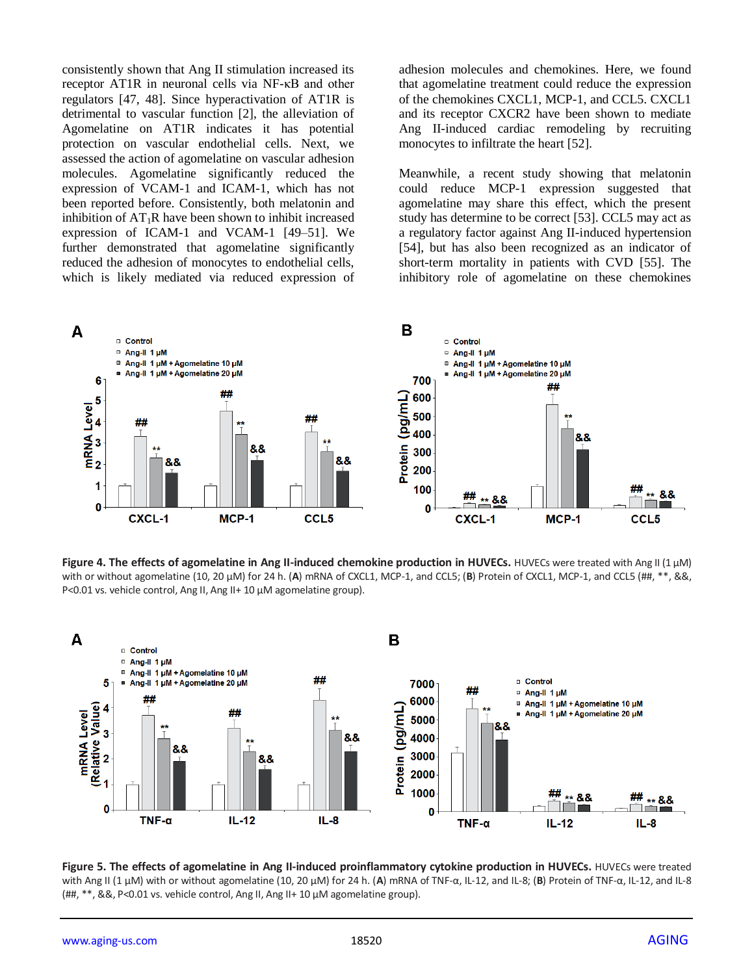consistently shown that Ang II stimulation increased its receptor AT1R in neuronal cells via NF-κB and other regulators [47, 48]. Since hyperactivation of AT1R is detrimental to vascular function [2], the alleviation of Agomelatine on AT1R indicates it has potential protection on vascular endothelial cells. Next, we assessed the action of agomelatine on vascular adhesion molecules. Agomelatine significantly reduced the expression of VCAM-1 and ICAM-1, which has not been reported before. Consistently, both melatonin and inhibition of  $AT_1R$  have been shown to inhibit increased expression of ICAM-1 and VCAM-1 [49–51]. We further demonstrated that agomelatine significantly reduced the adhesion of monocytes to endothelial cells, which is likely mediated via reduced expression of

adhesion molecules and chemokines. Here, we found that agomelatine treatment could reduce the expression of the chemokines CXCL1, MCP-1, and CCL5. CXCL1 and its receptor CXCR2 have been shown to mediate Ang II-induced cardiac remodeling by recruiting monocytes to infiltrate the heart [52].

Meanwhile, a recent study showing that melatonin could reduce MCP-1 expression suggested that agomelatine may share this effect, which the present study has determine to be correct [53]. CCL5 may act as a regulatory factor against Ang II-induced hypertension [54], but has also been recognized as an indicator of short-term mortality in patients with CVD [55]. The inhibitory role of agomelatine on these chemokines



**Figure 4. The effects of agomelatine in Ang II-induced chemokine production in HUVECs.** HUVECs were treated with Ang II (1 μM) with or without agomelatine (10, 20 μM) for 24 h. (A) mRNA of CXCL1, MCP-1, and CCL5; (B) Protein of CXCL1, MCP-1, and CCL5 (##, \*\*, &&, P<0.01 vs. vehicle control, Ang II, Ang II+ 10 μM agomelatine group).



**Figure 5. The effects of agomelatine in Ang II-induced proinflammatory cytokine production in HUVECs.** HUVECs were treated with Ang II (1 μM) with or without agomelatine (10, 20 μM) for 24 h. (**A**) mRNA of TNF-α, IL-12, and IL-8; (**B**) Protein of TNF-α, IL-12, and IL-8 (##, \*\*, &&, P<0.01 vs. vehicle control, Ang II, Ang II+ 10 μM agomelatine group).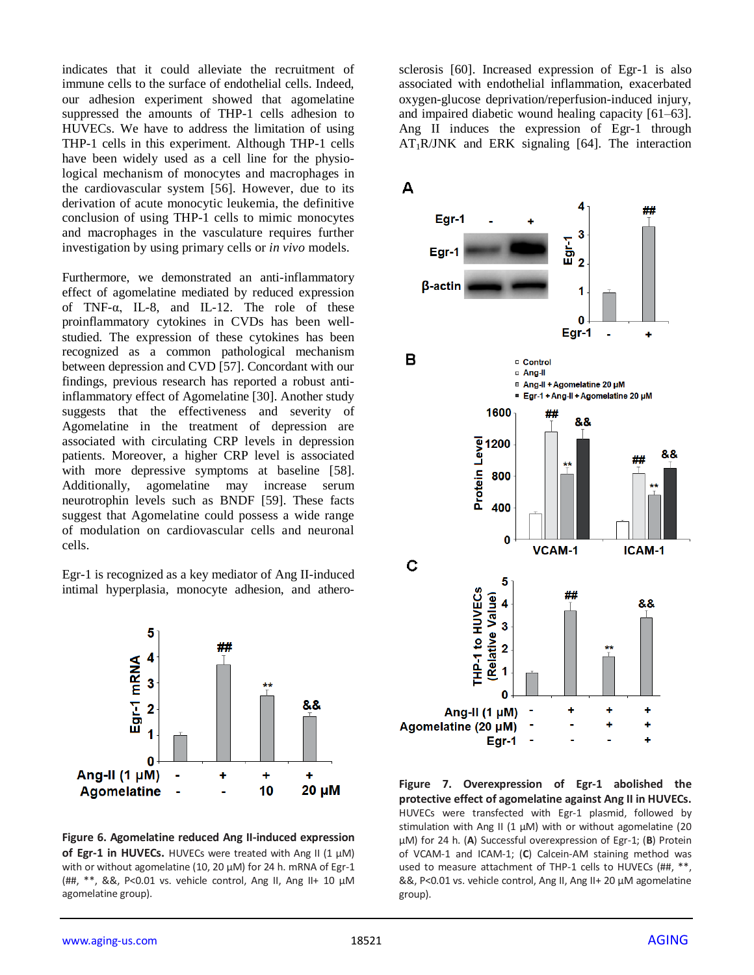indicates that it could alleviate the recruitment of immune cells to the surface of endothelial cells. Indeed, our adhesion experiment showed that agomelatine suppressed the amounts of THP-1 cells adhesion to HUVECs. We have to address the limitation of using THP-1 cells in this experiment. Although THP-1 cells have been widely used as a cell line for the physiological mechanism of monocytes and macrophages in the cardiovascular system [56]. However, due to its derivation of acute monocytic leukemia, the definitive conclusion of using THP-1 cells to mimic monocytes and macrophages in the vasculature requires further investigation by using primary cells or *in vivo* models.

Furthermore, we demonstrated an anti-inflammatory effect of agomelatine mediated by reduced expression of TNF-α, IL-8, and IL-12. The role of these proinflammatory cytokines in CVDs has been wellstudied. The expression of these cytokines has been recognized as a common pathological mechanism between depression and CVD [57]. Concordant with our findings, previous research has reported a robust antiinflammatory effect of Agomelatine [30]. Another study suggests that the effectiveness and severity of Agomelatine in the treatment of depression are associated with circulating CRP levels in depression patients. Moreover, a higher CRP level is associated with more depressive symptoms at baseline [58]. Additionally, agomelatine may increase serum neurotrophin levels such as BNDF [59]. These facts suggest that Agomelatine could possess a wide range of modulation on cardiovascular cells and neuronal cells.

Egr-1 is recognized as a key mediator of Ang II-induced intimal hyperplasia, monocyte adhesion, and athero-



**Figure 6. Agomelatine reduced Ang II-induced expression of Egr-1 in HUVECs.** HUVECs were treated with Ang II (1 μM) with or without agomelatine (10, 20 μM) for 24 h. mRNA of Egr-1 (##, \*\*, &&, P<0.01 vs. vehicle control, Ang II, Ang II+ 10 μM agomelatine group).

sclerosis [60]. Increased expression of Egr-1 is also associated with endothelial inflammation, exacerbated oxygen-glucose deprivation/reperfusion-induced injury, and impaired diabetic wound healing capacity [61–63]. Ang II induces the expression of Egr-1 through  $AT_1R/JNK$  and ERK signaling [64]. The interaction



**Figure 7. Overexpression of Egr-1 abolished the protective effect of agomelatine against Ang II in HUVECs.**  HUVECs were transfected with Egr-1 plasmid, followed by stimulation with Ang II (1  $\mu$ M) with or without agomelatine (20 μM) for 24 h. (**A**) Successful overexpression of Egr-1; (**B**) Protein of VCAM-1 and ICAM-1; (**C**) Calcein-AM staining method was used to measure attachment of THP-1 cells to HUVECs (##, \*\*, &&, P<0.01 vs. vehicle control, Ang II, Ang II+ 20 μM agomelatine group).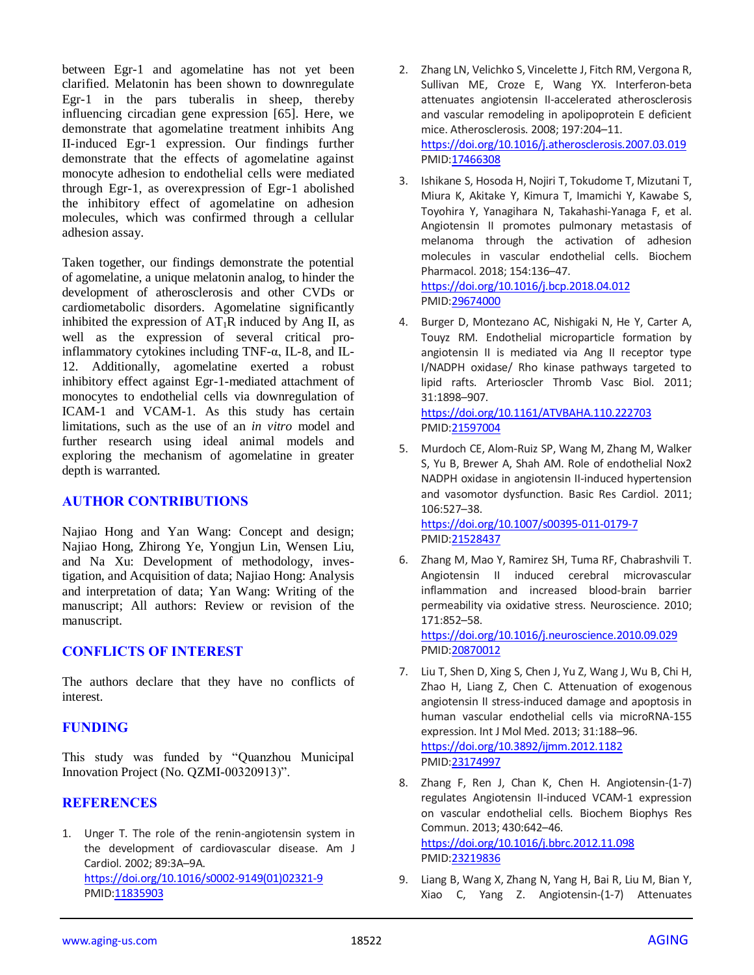between Egr-1 and agomelatine has not yet been clarified. Melatonin has been shown to downregulate Egr-1 in the pars tuberalis in sheep, thereby influencing circadian gene expression [65]. Here, we demonstrate that agomelatine treatment inhibits Ang II-induced Egr-1 expression. Our findings further demonstrate that the effects of agomelatine against monocyte adhesion to endothelial cells were mediated through Egr-1, as overexpression of Egr-1 abolished the inhibitory effect of agomelatine on adhesion molecules, which was confirmed through a cellular adhesion assay.

Taken together, our findings demonstrate the potential of agomelatine, a unique melatonin analog, to hinder the development of atherosclerosis and other CVDs or cardiometabolic disorders. Agomelatine significantly inhibited the expression of  $AT_1R$  induced by Ang II, as well as the expression of several critical proinflammatory cytokines including TNF-α, IL-8, and IL-12. Additionally, agomelatine exerted a robust inhibitory effect against Egr-1-mediated attachment of monocytes to endothelial cells via downregulation of ICAM-1 and VCAM-1. As this study has certain limitations, such as the use of an *in vitro* model and further research using ideal animal models and exploring the mechanism of agomelatine in greater depth is warranted.

### **AUTHOR CONTRIBUTIONS**

Najiao Hong and Yan Wang: Concept and design; Najiao Hong, Zhirong Ye, Yongjun Lin, Wensen Liu, and Na Xu: Development of methodology, investigation, and Acquisition of data; Najiao Hong: Analysis and interpretation of data; Yan Wang: Writing of the manuscript; All authors: Review or revision of the manuscript.

# **CONFLICTS OF INTEREST**

The authors declare that they have no conflicts of interest.

# **FUNDING**

This study was funded by "Quanzhou Municipal Innovation Project (No. QZMI-00320913)".

# **REFERENCES**

1. Unger T. The role of the renin-angiotensin system in the development of cardiovascular disease. Am J Cardiol. 2002; 89:3A–9A. [https://doi.org/10.1016/s0002-9149\(01\)02321-9](https://doi.org/10.1016/s0002-9149(01)02321-9) PMID[:11835903](https://pubmed.ncbi.nlm.nih.gov/11835903)

- 2. Zhang LN, Velichko S, Vincelette J, Fitch RM, Vergona R, Sullivan ME, Croze E, Wang YX. Interferon-beta attenuates angiotensin II-accelerated atherosclerosis and vascular remodeling in apolipoprotein E deficient mice. Atherosclerosis. 2008; 197:204–11. <https://doi.org/10.1016/j.atherosclerosis.2007.03.019> PMI[D:17466308](https://pubmed.ncbi.nlm.nih.gov/17466308)
- 3. Ishikane S, Hosoda H, Nojiri T, Tokudome T, Mizutani T, Miura K, Akitake Y, Kimura T, Imamichi Y, Kawabe S, Toyohira Y, Yanagihara N, Takahashi-Yanaga F, et al. Angiotensin II promotes pulmonary metastasis of melanoma through the activation of adhesion molecules in vascular endothelial cells. Biochem Pharmacol. 2018; 154:136–47. <https://doi.org/10.1016/j.bcp.2018.04.012> PMI[D:29674000](https://pubmed.ncbi.nlm.nih.gov/29674000)
- 4. Burger D, Montezano AC, Nishigaki N, He Y, Carter A, Touyz RM. Endothelial microparticle formation by angiotensin II is mediated via Ang II receptor type I/NADPH oxidase/ Rho kinase pathways targeted to lipid rafts. Arterioscler Thromb Vasc Biol. 2011; 31:1898–907.

<https://doi.org/10.1161/ATVBAHA.110.222703> PMI[D:21597004](https://pubmed.ncbi.nlm.nih.gov/21597004)

5. Murdoch CE, Alom-Ruiz SP, Wang M, Zhang M, Walker S, Yu B, Brewer A, Shah AM. Role of endothelial Nox2 NADPH oxidase in angiotensin II-induced hypertension and vasomotor dysfunction. Basic Res Cardiol. 2011; 106:527–38.

<https://doi.org/10.1007/s00395-011-0179-7> PMI[D:21528437](https://pubmed.ncbi.nlm.nih.gov/21528437)

6. Zhang M, Mao Y, Ramirez SH, Tuma RF, Chabrashvili T. Angiotensin II induced cerebral microvascular inflammation and increased blood-brain barrier permeability via oxidative stress. Neuroscience. 2010; 171:852–58. <https://doi.org/10.1016/j.neuroscience.2010.09.029>

PMI[D:20870012](https://pubmed.ncbi.nlm.nih.gov/20870012)

- 7. Liu T, Shen D, Xing S, Chen J, Yu Z, Wang J, Wu B, Chi H, Zhao H, Liang Z, Chen C. Attenuation of exogenous angiotensin II stress-induced damage and apoptosis in human vascular endothelial cells via microRNA-155 expression. Int J Mol Med. 2013; 31:188–96. <https://doi.org/10.3892/ijmm.2012.1182> PMI[D:23174997](https://pubmed.ncbi.nlm.nih.gov/23174997)
- 8. Zhang F, Ren J, Chan K, Chen H. Angiotensin-(1-7) regulates Angiotensin II-induced VCAM-1 expression on vascular endothelial cells. Biochem Biophys Res Commun. 2013; 430:642–46. <https://doi.org/10.1016/j.bbrc.2012.11.098> PMI[D:23219836](https://pubmed.ncbi.nlm.nih.gov/23219836)
- 9. Liang B, Wang X, Zhang N, Yang H, Bai R, Liu M, Bian Y, Xiao C, Yang Z. Angiotensin-(1-7) Attenuates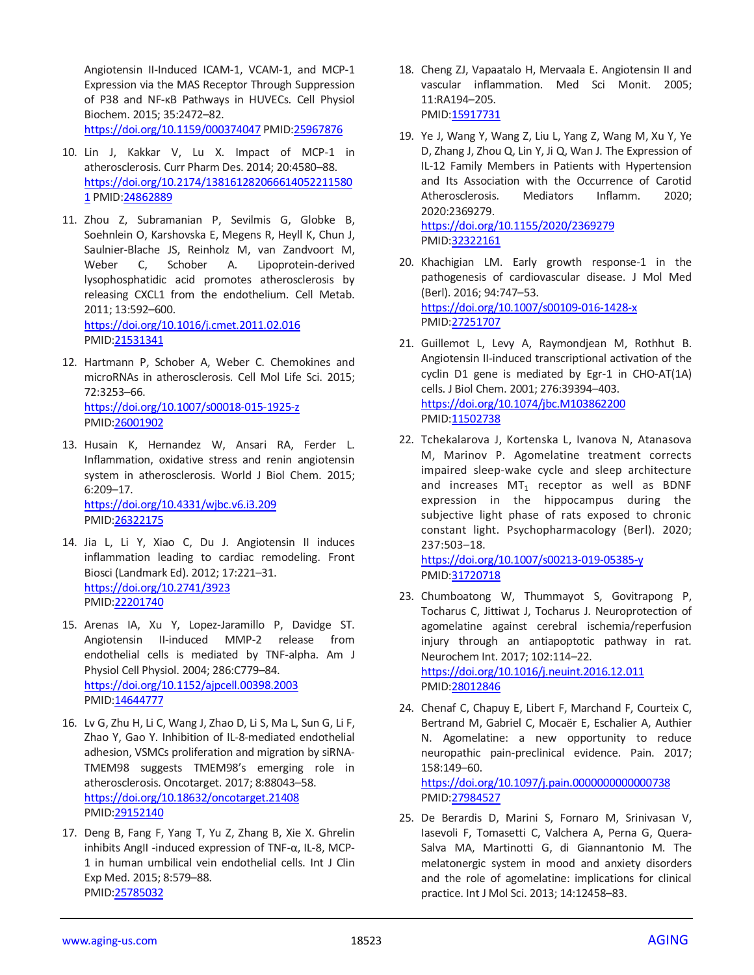Angiotensin II-Induced ICAM-1, VCAM-1, and MCP-1 Expression via the MAS Receptor Through Suppression of P38 and NF-κB Pathways in HUVECs. Cell Physiol Biochem. 2015; 35:2472–82. <https://doi.org/10.1159/000374047> PMI[D:25967876](https://pubmed.ncbi.nlm.nih.gov/25967876)

- 10. Lin J, Kakkar V, Lu X. Impact of MCP-1 in atherosclerosis. Curr Pharm Des. 2014; 20:4580–88. [https://doi.org/10.2174/138161282066614052211580](https://doi.org/10.2174/1381612820666140522115801) [1](https://doi.org/10.2174/1381612820666140522115801) PMID[:24862889](https://pubmed.ncbi.nlm.nih.gov/24862889)
- 11. Zhou Z, Subramanian P, Sevilmis G, Globke B, Soehnlein O, Karshovska E, Megens R, Heyll K, Chun J, Saulnier-Blache JS, Reinholz M, van Zandvoort M, Weber C, Schober A. Lipoprotein-derived lysophosphatidic acid promotes atherosclerosis by releasing CXCL1 from the endothelium. Cell Metab. 2011; 13:592–600. <https://doi.org/10.1016/j.cmet.2011.02.016>
	- PMID[:21531341](https://pubmed.ncbi.nlm.nih.gov/21531341)
- 12. Hartmann P, Schober A, Weber C. Chemokines and microRNAs in atherosclerosis. Cell Mol Life Sci. 2015; 72:3253–66. <https://doi.org/10.1007/s00018-015-1925-z> PMID[:26001902](https://pubmed.ncbi.nlm.nih.gov/26001902)
- 13. Husain K, Hernandez W, Ansari RA, Ferder L. Inflammation, oxidative stress and renin angiotensin system in atherosclerosis. World J Biol Chem. 2015; 6:209–17. <https://doi.org/10.4331/wjbc.v6.i3.209> PMID[:26322175](https://pubmed.ncbi.nlm.nih.gov/26322175)
- 14. Jia L, Li Y, Xiao C, Du J. Angiotensin II induces inflammation leading to cardiac remodeling. Front Biosci (Landmark Ed). 2012; 17:221–31. <https://doi.org/10.2741/3923> PMID[:22201740](https://pubmed.ncbi.nlm.nih.gov/22201740)
- 15. Arenas IA, Xu Y, Lopez-Jaramillo P, Davidge ST. Angiotensin II-induced MMP-2 release from endothelial cells is mediated by TNF-alpha. Am J Physiol Cell Physiol. 2004; 286:C779–84. <https://doi.org/10.1152/ajpcell.00398.2003> PMID[:14644777](https://pubmed.ncbi.nlm.nih.gov/14644777)
- 16. Lv G, Zhu H, Li C, Wang J, Zhao D, Li S, Ma L, Sun G, Li F, Zhao Y, Gao Y. Inhibition of IL-8-mediated endothelial adhesion, VSMCs proliferation and migration by siRNA-TMEM98 suggests TMEM98's emerging role in atherosclerosis. Oncotarget. 2017; 8:88043–58. <https://doi.org/10.18632/oncotarget.21408> PMID[:29152140](https://pubmed.ncbi.nlm.nih.gov/29152140)
- 17. Deng B, Fang F, Yang T, Yu Z, Zhang B, Xie X. Ghrelin inhibits AngII -induced expression of TNF-α, IL-8, MCP-1 in human umbilical vein endothelial cells. Int J Clin Exp Med. 2015; 8:579–88. PMID[:25785032](https://pubmed.ncbi.nlm.nih.gov/25785032)
- 18. Cheng ZJ, Vapaatalo H, Mervaala E. Angiotensin II and vascular inflammation. Med Sci Monit. 2005; 11:RA194–205. PMID: 15917731
- 19. Ye J, Wang Y, Wang Z, Liu L, Yang Z, Wang M, Xu Y, Ye D, Zhang J, Zhou Q, Lin Y, Ji Q, Wan J. The Expression of IL-12 Family Members in Patients with Hypertension and Its Association with the Occurrence of Carotid Atherosclerosis. Mediators Inflamm. 2020; 2020:2369279. <https://doi.org/10.1155/2020/2369279> PMI[D:32322161](https://pubmed.ncbi.nlm.nih.gov/32322161)
- 20. Khachigian LM. Early growth response-1 in the pathogenesis of cardiovascular disease. J Mol Med (Berl). 2016; 94:747–53. <https://doi.org/10.1007/s00109-016-1428-x> PMI[D:27251707](https://pubmed.ncbi.nlm.nih.gov/27251707)
- 21. Guillemot L, Levy A, Raymondjean M, Rothhut B. Angiotensin II-induced transcriptional activation of the cyclin D1 gene is mediated by Egr-1 in CHO-AT(1A) cells. J Biol Chem. 2001; 276:39394–403. <https://doi.org/10.1074/jbc.M103862200> PMI[D:11502738](https://pubmed.ncbi.nlm.nih.gov/11502738)
- 22. Tchekalarova J, Kortenska L, Ivanova N, Atanasova M, Marinov P. Agomelatine treatment corrects impaired sleep-wake cycle and sleep architecture and increases  $MT_1$  receptor as well as BDNF expression in the hippocampus during the subjective light phase of rats exposed to chronic constant light. Psychopharmacology (Berl). 2020; 237:503–18.

<https://doi.org/10.1007/s00213-019-05385-y> PMI[D:31720718](https://pubmed.ncbi.nlm.nih.gov/31720718)

23. Chumboatong W, Thummayot S, Govitrapong P, Tocharus C, Jittiwat J, Tocharus J. Neuroprotection of agomelatine against cerebral ischemia/reperfusion injury through an antiapoptotic pathway in rat. Neurochem Int. 2017; 102:114–22. <https://doi.org/10.1016/j.neuint.2016.12.011>

PMI[D:28012846](https://pubmed.ncbi.nlm.nih.gov/28012846)

24. Chenaf C, Chapuy E, Libert F, Marchand F, Courteix C, Bertrand M, Gabriel C, Mocaër E, Eschalier A, Authier N. Agomelatine: a new opportunity to reduce neuropathic pain-preclinical evidence. Pain. 2017; 158:149–60.

<https://doi.org/10.1097/j.pain.0000000000000738> PMI[D:27984527](https://pubmed.ncbi.nlm.nih.gov/27984527)

25. De Berardis D, Marini S, Fornaro M, Srinivasan V, Iasevoli F, Tomasetti C, Valchera A, Perna G, Quera-Salva MA, Martinotti G, di Giannantonio M. The melatonergic system in mood and anxiety disorders and the role of agomelatine: implications for clinical practice. Int J Mol Sci. 2013; 14:12458–83.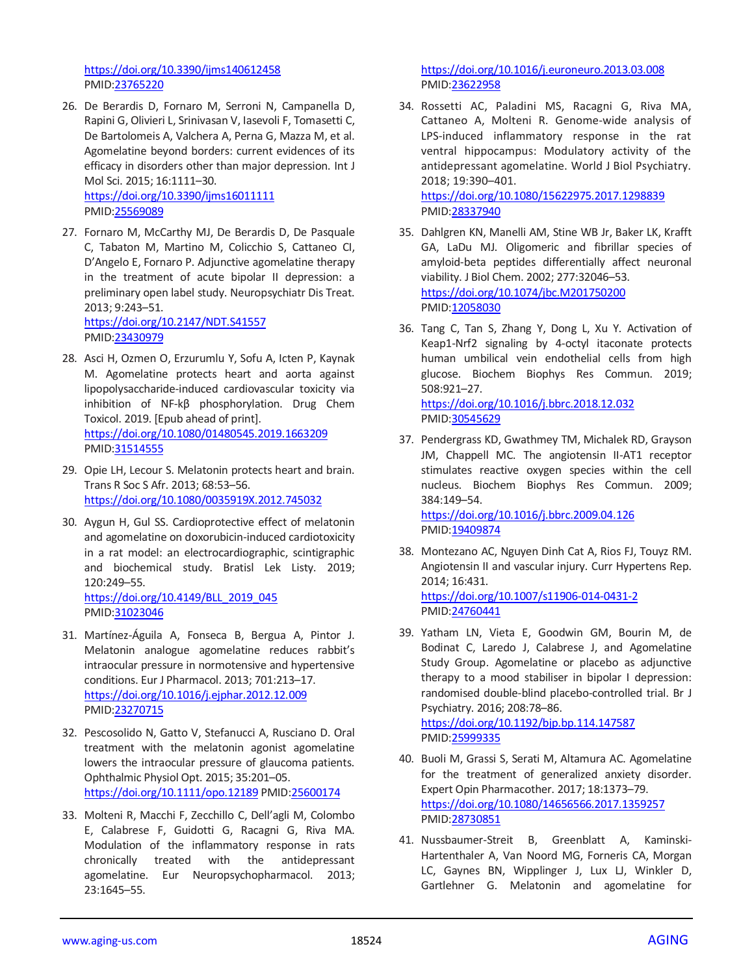<https://doi.org/10.3390/ijms140612458> PMID[:23765220](https://pubmed.ncbi.nlm.nih.gov/23765220)

26. De Berardis D, Fornaro M, Serroni N, Campanella D, Rapini G, Olivieri L, Srinivasan V, Iasevoli F, Tomasetti C, De Bartolomeis A, Valchera A, Perna G, Mazza M, et al. Agomelatine beyond borders: current evidences of its efficacy in disorders other than major depression. Int J Mol Sci. 2015; 16:1111–30. <https://doi.org/10.3390/ijms16011111>

PMID[:25569089](https://pubmed.ncbi.nlm.nih.gov/25569089)

27. Fornaro M, McCarthy MJ, De Berardis D, De Pasquale C, Tabaton M, Martino M, Colicchio S, Cattaneo CI, D'Angelo E, Fornaro P. Adjunctive agomelatine therapy in the treatment of acute bipolar II depression: a preliminary open label study. Neuropsychiatr Dis Treat. 2013; 9:243–51.

<https://doi.org/10.2147/NDT.S41557> PMID[:23430979](https://pubmed.ncbi.nlm.nih.gov/23430979)

- 28. Asci H, Ozmen O, Erzurumlu Y, Sofu A, Icten P, Kaynak M. Agomelatine protects heart and aorta against lipopolysaccharide-induced cardiovascular toxicity via inhibition of NF-kβ phosphorylation. Drug Chem Toxicol. 2019. [Epub ahead of print]. <https://doi.org/10.1080/01480545.2019.1663209> PMID[:31514555](https://pubmed.ncbi.nlm.nih.gov/31514555)
- 29. Opie LH, Lecour S. Melatonin protects heart and brain. Trans R Soc S Afr. 2013; 68:53–56. <https://doi.org/10.1080/0035919X.2012.745032>
- 30. Aygun H, Gul SS. Cardioprotective effect of melatonin and agomelatine on doxorubicin-induced cardiotoxicity in a rat model: an electrocardiographic, scintigraphic and biochemical study. Bratisl Lek Listy. 2019; 120:249–55.

[https://doi.org/10.4149/BLL\\_2019\\_045](https://doi.org/10.4149/BLL_2019_045) PMID[:31023046](https://pubmed.ncbi.nlm.nih.gov/31023046)

- 31. Martínez-Águila A, Fonseca B, Bergua A, Pintor J. Melatonin analogue agomelatine reduces rabbit's intraocular pressure in normotensive and hypertensive conditions. Eur J Pharmacol. 2013; 701:213–17. <https://doi.org/10.1016/j.ejphar.2012.12.009> PMID[:23270715](https://pubmed.ncbi.nlm.nih.gov/23270715)
- 32. Pescosolido N, Gatto V, Stefanucci A, Rusciano D. Oral treatment with the melatonin agonist agomelatine lowers the intraocular pressure of glaucoma patients. Ophthalmic Physiol Opt. 2015; 35:201–05. <https://doi.org/10.1111/opo.12189> PMI[D:25600174](https://pubmed.ncbi.nlm.nih.gov/25600174)
- 33. Molteni R, Macchi F, Zecchillo C, Dell'agli M, Colombo E, Calabrese F, Guidotti G, Racagni G, Riva MA. Modulation of the inflammatory response in rats chronically treated with the antidepressant agomelatine. Eur Neuropsychopharmacol. 2013; 23:1645–55.

<https://doi.org/10.1016/j.euroneuro.2013.03.008> PMI[D:23622958](https://pubmed.ncbi.nlm.nih.gov/23622958)

34. Rossetti AC, Paladini MS, Racagni G, Riva MA, Cattaneo A, Molteni R. Genome-wide analysis of LPS-induced inflammatory response in the rat ventral hippocampus: Modulatory activity of the antidepressant agomelatine. World J Biol Psychiatry. 2018; 19:390–401.

<https://doi.org/10.1080/15622975.2017.1298839> PMI[D:28337940](https://pubmed.ncbi.nlm.nih.gov/28337940)

- 35. Dahlgren KN, Manelli AM, Stine WB Jr, Baker LK, Krafft GA, LaDu MJ. Oligomeric and fibrillar species of amyloid-beta peptides differentially affect neuronal viability. J Biol Chem. 2002; 277:32046–53. <https://doi.org/10.1074/jbc.M201750200> PMI[D:12058030](https://pubmed.ncbi.nlm.nih.gov/12058030)
- 36. Tang C, Tan S, Zhang Y, Dong L, Xu Y. Activation of Keap1-Nrf2 signaling by 4-octyl itaconate protects human umbilical vein endothelial cells from high glucose. Biochem Biophys Res Commun. 2019; 508:921–27.

<https://doi.org/10.1016/j.bbrc.2018.12.032> PMI[D:30545629](https://pubmed.ncbi.nlm.nih.gov/30545629)

37. Pendergrass KD, Gwathmey TM, Michalek RD, Grayson JM, Chappell MC. The angiotensin II-AT1 receptor stimulates reactive oxygen species within the cell nucleus. Biochem Biophys Res Commun. 2009; 384:149–54.

<https://doi.org/10.1016/j.bbrc.2009.04.126> PMI[D:19409874](https://pubmed.ncbi.nlm.nih.gov/19409874)

- 38. Montezano AC, Nguyen Dinh Cat A, Rios FJ, Touyz RM. Angiotensin II and vascular injury. Curr Hypertens Rep. 2014; 16:431. <https://doi.org/10.1007/s11906-014-0431-2> PMI[D:24760441](https://pubmed.ncbi.nlm.nih.gov/24760441)
- 39. Yatham LN, Vieta E, Goodwin GM, Bourin M, de Bodinat C, Laredo J, Calabrese J, and Agomelatine Study Group. Agomelatine or placebo as adjunctive therapy to a mood stabiliser in bipolar I depression: randomised double-blind placebo-controlled trial. Br J Psychiatry. 2016; 208:78–86. <https://doi.org/10.1192/bjp.bp.114.147587> PMI[D:25999335](https://pubmed.ncbi.nlm.nih.gov/25999335)
- 40. Buoli M, Grassi S, Serati M, Altamura AC. Agomelatine for the treatment of generalized anxiety disorder. Expert Opin Pharmacother. 2017; 18:1373–79. <https://doi.org/10.1080/14656566.2017.1359257> PMI[D:28730851](https://pubmed.ncbi.nlm.nih.gov/28730851)
- 41. Nussbaumer-Streit B, Greenblatt A, Kaminski-Hartenthaler A, Van Noord MG, Forneris CA, Morgan LC, Gaynes BN, Wipplinger J, Lux LJ, Winkler D, Gartlehner G. Melatonin and agomelatine for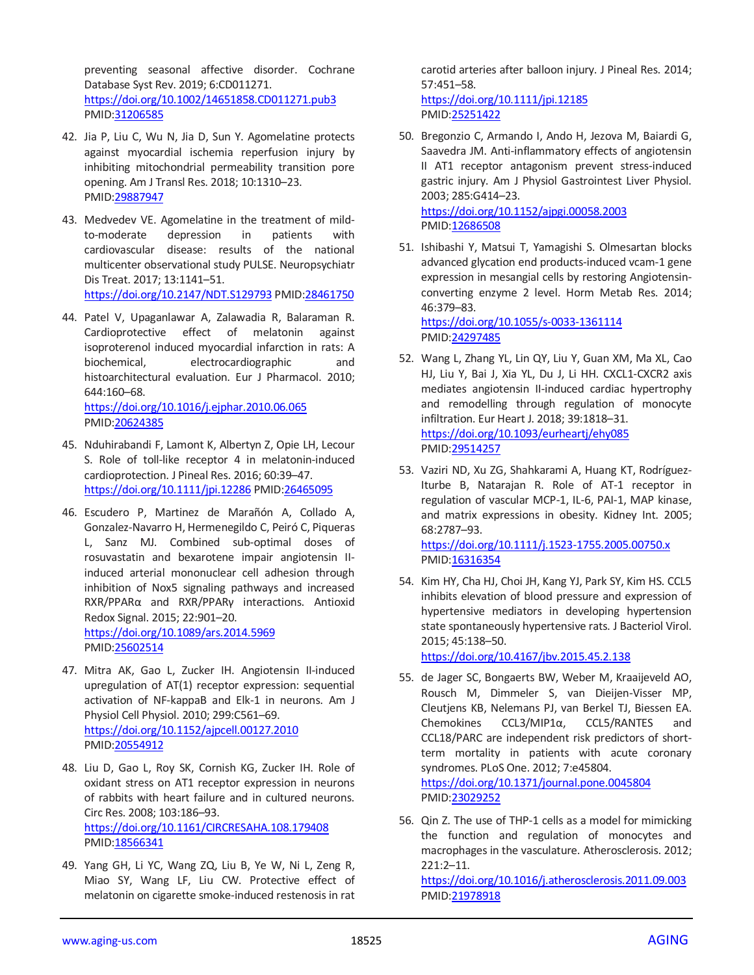preventing seasonal affective disorder. Cochrane Database Syst Rev. 2019; 6:CD011271. <https://doi.org/10.1002/14651858.CD011271.pub3> PMID[:31206585](https://pubmed.ncbi.nlm.nih.gov/31206585)

- 42. Jia P, Liu C, Wu N, Jia D, Sun Y. Agomelatine protects against myocardial ischemia reperfusion injury by inhibiting mitochondrial permeability transition pore opening. Am J Transl Res. 2018; 10:1310–23. PMID[:29887947](https://pubmed.ncbi.nlm.nih.gov/29887947)
- 43. Medvedev VE. Agomelatine in the treatment of mildto-moderate depression in patients with cardiovascular disease: results of the national multicenter observational study PULSE. Neuropsychiatr Dis Treat. 2017; 13:1141–51. <https://doi.org/10.2147/NDT.S129793> PMI[D:28461750](https://pubmed.ncbi.nlm.nih.gov/28461750)
- 44. Patel V, Upaganlawar A, Zalawadia R, Balaraman R. Cardioprotective effect of melatonin against isoproterenol induced myocardial infarction in rats: A biochemical, electrocardiographic and histoarchitectural evaluation. Eur J Pharmacol. 2010; 644:160–68. <https://doi.org/10.1016/j.ejphar.2010.06.065>

PMID[:20624385](https://pubmed.ncbi.nlm.nih.gov/20624385)

- 45. Nduhirabandi F, Lamont K, Albertyn Z, Opie LH, Lecour S. Role of toll-like receptor 4 in melatonin-induced cardioprotection. J Pineal Res. 2016; 60:39–47. <https://doi.org/10.1111/jpi.12286> PMI[D:26465095](https://pubmed.ncbi.nlm.nih.gov/26465095)
- 46. Escudero P, Martinez de Marañón A, Collado A, Gonzalez-Navarro H, Hermenegildo C, Peiró C, Piqueras L, Sanz MJ. Combined sub-optimal doses of rosuvastatin and bexarotene impair angiotensin IIinduced arterial mononuclear cell adhesion through inhibition of Nox5 signaling pathways and increased RXR/PPARα and RXR/PPARγ interactions. Antioxid Redox Signal. 2015; 22:901–20. <https://doi.org/10.1089/ars.2014.5969> PMID[:25602514](https://pubmed.ncbi.nlm.nih.gov/25602514)
- 47. Mitra AK, Gao L, Zucker IH. Angiotensin II-induced upregulation of AT(1) receptor expression: sequential activation of NF-kappaB and Elk-1 in neurons. Am J Physiol Cell Physiol. 2010; 299:C561–69. <https://doi.org/10.1152/ajpcell.00127.2010> PMID[:20554912](https://pubmed.ncbi.nlm.nih.gov/20554912)
- 48. Liu D, Gao L, Roy SK, Cornish KG, Zucker IH. Role of oxidant stress on AT1 receptor expression in neurons of rabbits with heart failure and in cultured neurons. Circ Res. 2008; 103:186–93. <https://doi.org/10.1161/CIRCRESAHA.108.179408> PMID[:18566341](https://pubmed.ncbi.nlm.nih.gov/18566341)
- 49. Yang GH, Li YC, Wang ZQ, Liu B, Ye W, Ni L, Zeng R, Miao SY, Wang LF, Liu CW. Protective effect of melatonin on cigarette smoke-induced restenosis in rat

carotid arteries after balloon injury. J Pineal Res. 2014; 57:451–58. <https://doi.org/10.1111/jpi.12185>

PMI[D:25251422](https://pubmed.ncbi.nlm.nih.gov/25251422)

- 50. Bregonzio C, Armando I, Ando H, Jezova M, Baiardi G, Saavedra JM. Anti-inflammatory effects of angiotensin II AT1 receptor antagonism prevent stress-induced gastric injury. Am J Physiol Gastrointest Liver Physiol. 2003; 285:G414–23. <https://doi.org/10.1152/ajpgi.00058.2003> PMI[D:12686508](https://pubmed.ncbi.nlm.nih.gov/12686508)
- 51. Ishibashi Y, Matsui T, Yamagishi S. Olmesartan blocks advanced glycation end products-induced vcam-1 gene expression in mesangial cells by restoring Angiotensinconverting enzyme 2 level. Horm Metab Res. 2014; 46:379–83.

<https://doi.org/10.1055/s-0033-1361114> PMI[D:24297485](https://pubmed.ncbi.nlm.nih.gov/24297485)

- 52. Wang L, Zhang YL, Lin QY, Liu Y, Guan XM, Ma XL, Cao HJ, Liu Y, Bai J, Xia YL, Du J, Li HH. CXCL1-CXCR2 axis mediates angiotensin II-induced cardiac hypertrophy and remodelling through regulation of monocyte infiltration. Eur Heart J. 2018; 39:1818–31. <https://doi.org/10.1093/eurheartj/ehy085> PMI[D:29514257](https://pubmed.ncbi.nlm.nih.gov/29514257)
- 53. Vaziri ND, Xu ZG, Shahkarami A, Huang KT, Rodríguez-Iturbe B, Natarajan R. Role of AT-1 receptor in regulation of vascular MCP-1, IL-6, PAI-1, MAP kinase, and matrix expressions in obesity. Kidney Int. 2005; 68:2787–93.

<https://doi.org/10.1111/j.1523-1755.2005.00750.x> PMI[D:16316354](https://pubmed.ncbi.nlm.nih.gov/16316354)

54. Kim HY, Cha HJ, Choi JH, Kang YJ, Park SY, Kim HS. CCL5 inhibits elevation of blood pressure and expression of hypertensive mediators in developing hypertension state spontaneously hypertensive rats. J Bacteriol Virol. 2015; 45:138–50.

<https://doi.org/10.4167/jbv.2015.45.2.138>

- 55. de Jager SC, Bongaerts BW, Weber M, Kraaijeveld AO, Rousch M, Dimmeler S, van Dieijen-Visser MP, Cleutjens KB, Nelemans PJ, van Berkel TJ, Biessen EA. Chemokines CCL3/MIP1α, CCL5/RANTES and CCL18/PARC are independent risk predictors of shortterm mortality in patients with acute coronary syndromes. PLoS One. 2012; 7:e45804. <https://doi.org/10.1371/journal.pone.0045804> PMI[D:23029252](https://pubmed.ncbi.nlm.nih.gov/23029252)
- 56. Qin Z. The use of THP-1 cells as a model for mimicking the function and regulation of monocytes and macrophages in the vasculature. Atherosclerosis. 2012; 221:2–11.

<https://doi.org/10.1016/j.atherosclerosis.2011.09.003> PMI[D:21978918](https://pubmed.ncbi.nlm.nih.gov/21978918)